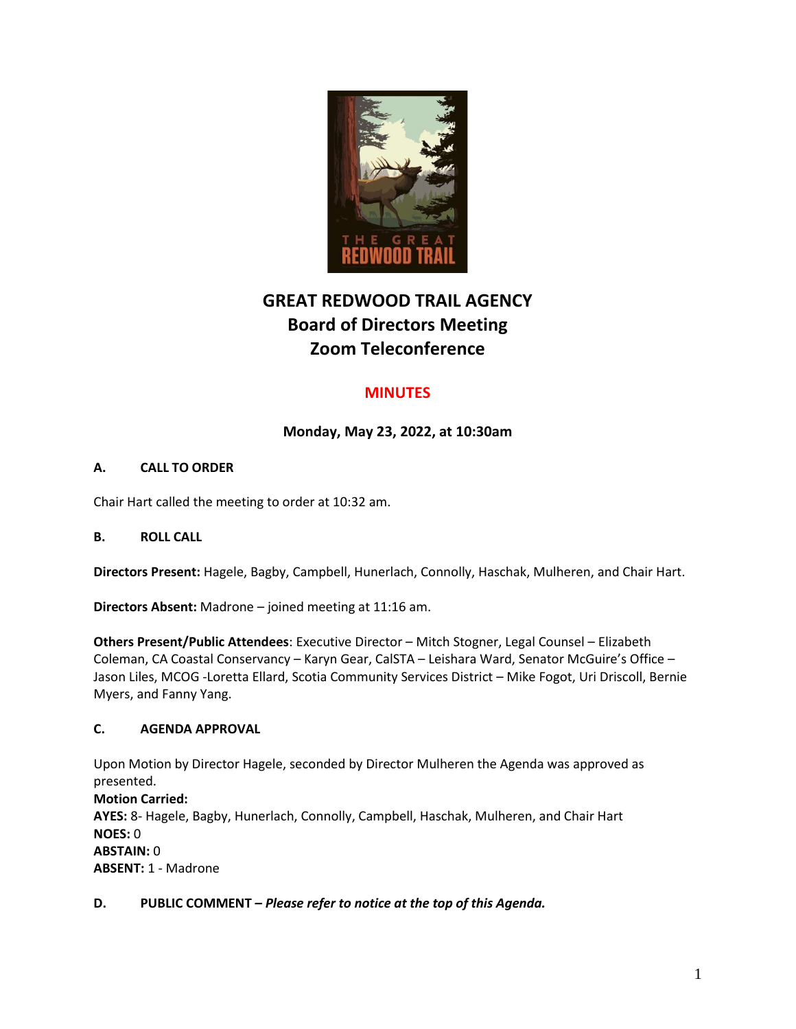

# **GREAT REDWOOD TRAIL AGENCY Board of Directors Meeting Zoom Teleconference**

## **MINUTES**

## **Monday, May 23, 2022, at 10:30am**

## **A. CALL TO ORDER**

Chair Hart called the meeting to order at 10:32 am.

## **B. ROLL CALL**

**Directors Present:** Hagele, Bagby, Campbell, Hunerlach, Connolly, Haschak, Mulheren, and Chair Hart.

**Directors Absent:** Madrone – joined meeting at 11:16 am.

**Others Present/Public Attendees**: Executive Director – Mitch Stogner, Legal Counsel – Elizabeth Coleman, CA Coastal Conservancy – Karyn Gear, CalSTA – Leishara Ward, Senator McGuire's Office – Jason Liles, MCOG -Loretta Ellard, Scotia Community Services District – Mike Fogot, Uri Driscoll, Bernie Myers, and Fanny Yang.

## **C. AGENDA APPROVAL**

Upon Motion by Director Hagele, seconded by Director Mulheren the Agenda was approved as presented.

**Motion Carried: AYES:** 8- Hagele, Bagby, Hunerlach, Connolly, Campbell, Haschak, Mulheren, and Chair Hart **NOES:** 0 **ABSTAIN:** 0 **ABSENT:** 1 - Madrone

## **D. PUBLIC COMMENT –** *Please refer to notice at the top of this Agenda.*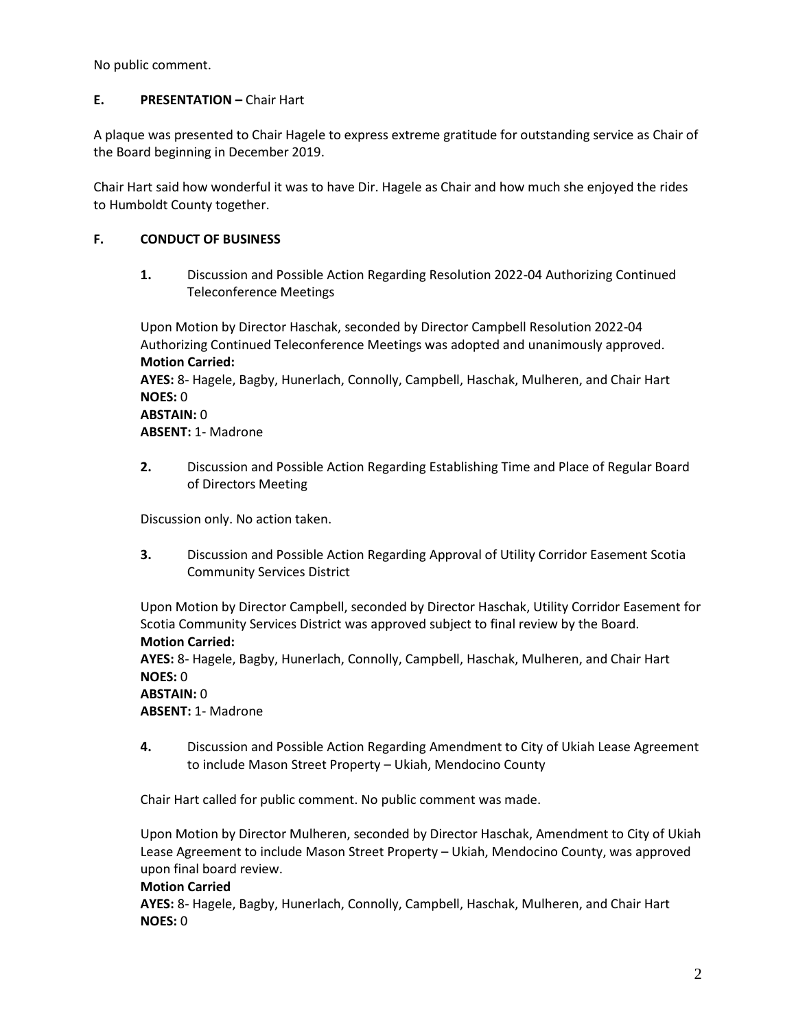No public comment.

## **E. PRESENTATION** – Chair Hart

A plaque was presented to Chair Hagele to express extreme gratitude for outstanding service as Chair of the Board beginning in December 2019.

Chair Hart said how wonderful it was to have Dir. Hagele as Chair and how much she enjoyed the rides to Humboldt County together.

## **F. CONDUCT OF BUSINESS**

**1.** Discussion and Possible Action Regarding Resolution 2022-04 Authorizing Continued Teleconference Meetings

Upon Motion by Director Haschak, seconded by Director Campbell Resolution 2022-04 Authorizing Continued Teleconference Meetings was adopted and unanimously approved. **Motion Carried: AYES:** 8- Hagele, Bagby, Hunerlach, Connolly, Campbell, Haschak, Mulheren, and Chair Hart **NOES:** 0 **ABSTAIN:** 0 **ABSENT:** 1- Madrone

**2.** Discussion and Possible Action Regarding Establishing Time and Place of Regular Board of Directors Meeting

Discussion only. No action taken.

**3.** Discussion and Possible Action Regarding Approval of Utility Corridor Easement Scotia Community Services District

Upon Motion by Director Campbell, seconded by Director Haschak, Utility Corridor Easement for Scotia Community Services District was approved subject to final review by the Board. **Motion Carried:**

**AYES:** 8- Hagele, Bagby, Hunerlach, Connolly, Campbell, Haschak, Mulheren, and Chair Hart **NOES:** 0

#### **ABSTAIN:** 0 **ABSENT:** 1- Madrone

**4.** Discussion and Possible Action Regarding Amendment to City of Ukiah Lease Agreement to include Mason Street Property – Ukiah, Mendocino County

Chair Hart called for public comment. No public comment was made.

Upon Motion by Director Mulheren, seconded by Director Haschak, Amendment to City of Ukiah Lease Agreement to include Mason Street Property – Ukiah, Mendocino County, was approved upon final board review.

#### **Motion Carried**

**AYES:** 8- Hagele, Bagby, Hunerlach, Connolly, Campbell, Haschak, Mulheren, and Chair Hart **NOES:** 0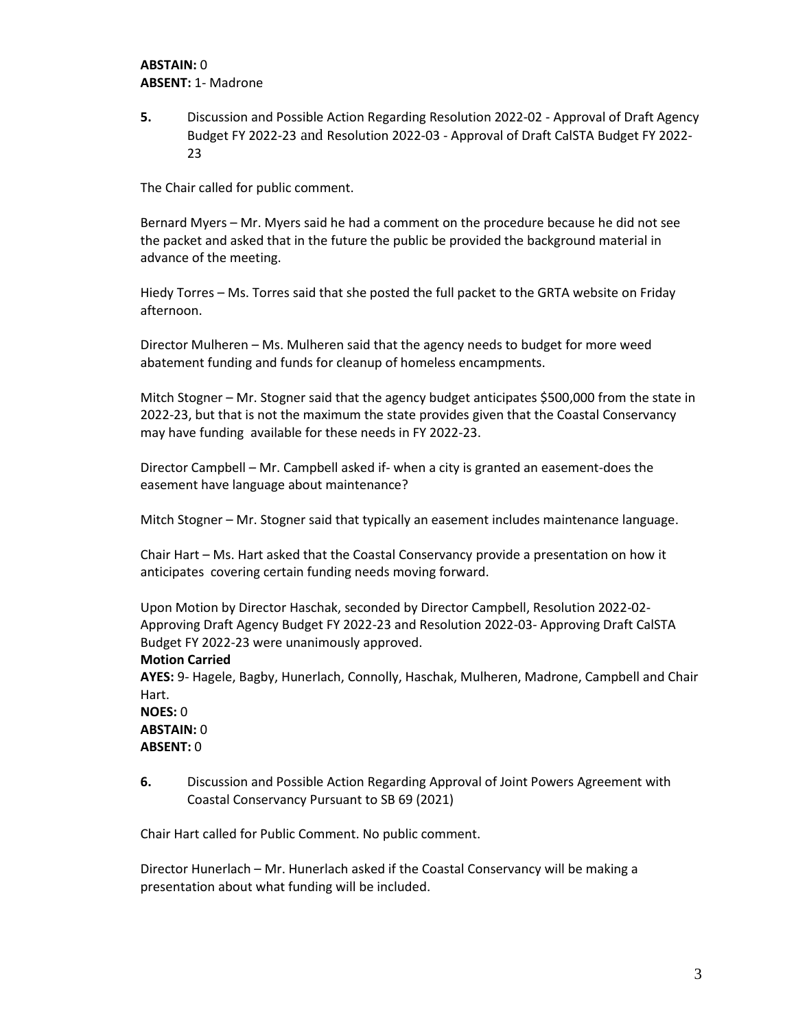## **ABSTAIN:** 0 **ABSENT:** 1- Madrone

**5.** Discussion and Possible Action Regarding Resolution 2022-02 - Approval of Draft Agency Budget FY 2022-23 and Resolution 2022-03 - Approval of Draft CalSTA Budget FY 2022- 23

The Chair called for public comment.

Bernard Myers – Mr. Myers said he had a comment on the procedure because he did not see the packet and asked that in the future the public be provided the background material in advance of the meeting.

Hiedy Torres – Ms. Torres said that she posted the full packet to the GRTA website on Friday afternoon.

Director Mulheren – Ms. Mulheren said that the agency needs to budget for more weed abatement funding and funds for cleanup of homeless encampments.

Mitch Stogner – Mr. Stogner said that the agency budget anticipates \$500,000 from the state in 2022-23, but that is not the maximum the state provides given that the Coastal Conservancy may have funding available for these needs in FY 2022-23.

Director Campbell – Mr. Campbell asked if- when a city is granted an easement-does the easement have language about maintenance?

Mitch Stogner – Mr. Stogner said that typically an easement includes maintenance language.

Chair Hart – Ms. Hart asked that the Coastal Conservancy provide a presentation on how it anticipates covering certain funding needs moving forward.

Upon Motion by Director Haschak, seconded by Director Campbell, Resolution 2022-02- Approving Draft Agency Budget FY 2022-23 and Resolution 2022-03- Approving Draft CalSTA Budget FY 2022-23 were unanimously approved.

#### **Motion Carried**

**AYES:** 9- Hagele, Bagby, Hunerlach, Connolly, Haschak, Mulheren, Madrone, Campbell and Chair Hart.

**NOES:** 0 **ABSTAIN:** 0 **ABSENT:** 0

**6.** Discussion and Possible Action Regarding Approval of Joint Powers Agreement with Coastal Conservancy Pursuant to SB 69 (2021)

Chair Hart called for Public Comment. No public comment.

Director Hunerlach – Mr. Hunerlach asked if the Coastal Conservancy will be making a presentation about what funding will be included.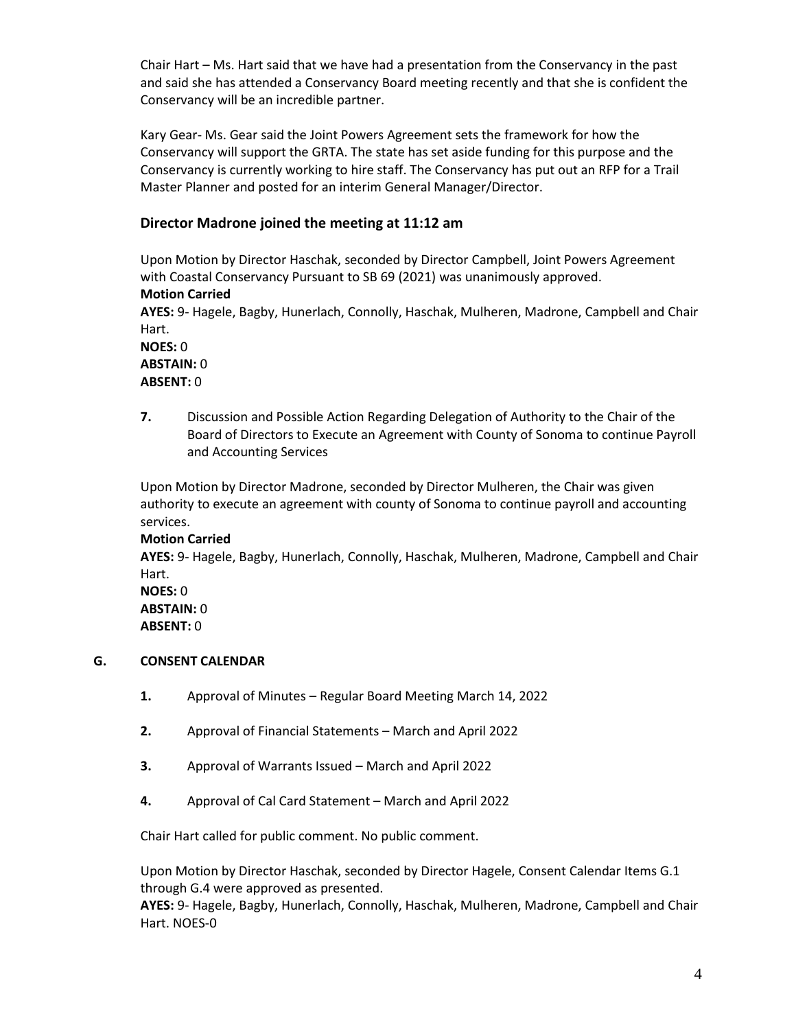Chair Hart – Ms. Hart said that we have had a presentation from the Conservancy in the past and said she has attended a Conservancy Board meeting recently and that she is confident the Conservancy will be an incredible partner.

Kary Gear- Ms. Gear said the Joint Powers Agreement sets the framework for how the Conservancy will support the GRTA. The state has set aside funding for this purpose and the Conservancy is currently working to hire staff. The Conservancy has put out an RFP for a Trail Master Planner and posted for an interim General Manager/Director.

## **Director Madrone joined the meeting at 11:12 am**

Upon Motion by Director Haschak, seconded by Director Campbell, Joint Powers Agreement with Coastal Conservancy Pursuant to SB 69 (2021) was unanimously approved. **Motion Carried AYES:** 9- Hagele, Bagby, Hunerlach, Connolly, Haschak, Mulheren, Madrone, Campbell and Chair Hart. **NOES:** 0 **ABSTAIN:** 0

**ABSENT:** 0

**7.** Discussion and Possible Action Regarding Delegation of Authority to the Chair of the Board of Directors to Execute an Agreement with County of Sonoma to continue Payroll and Accounting Services

Upon Motion by Director Madrone, seconded by Director Mulheren, the Chair was given authority to execute an agreement with county of Sonoma to continue payroll and accounting services.

## **Motion Carried AYES:** 9- Hagele, Bagby, Hunerlach, Connolly, Haschak, Mulheren, Madrone, Campbell and Chair Hart. **NOES:** 0 **ABSTAIN:** 0 **ABSENT:** 0

#### **G. CONSENT CALENDAR**

- **1.** Approval of Minutes Regular Board Meeting March 14, 2022
- **2.** Approval of Financial Statements March and April 2022
- **3.** Approval of Warrants Issued March and April 2022
- **4.** Approval of Cal Card Statement March and April 2022

Chair Hart called for public comment. No public comment.

Upon Motion by Director Haschak, seconded by Director Hagele, Consent Calendar Items G.1 through G.4 were approved as presented.

**AYES:** 9- Hagele, Bagby, Hunerlach, Connolly, Haschak, Mulheren, Madrone, Campbell and Chair Hart. NOES-0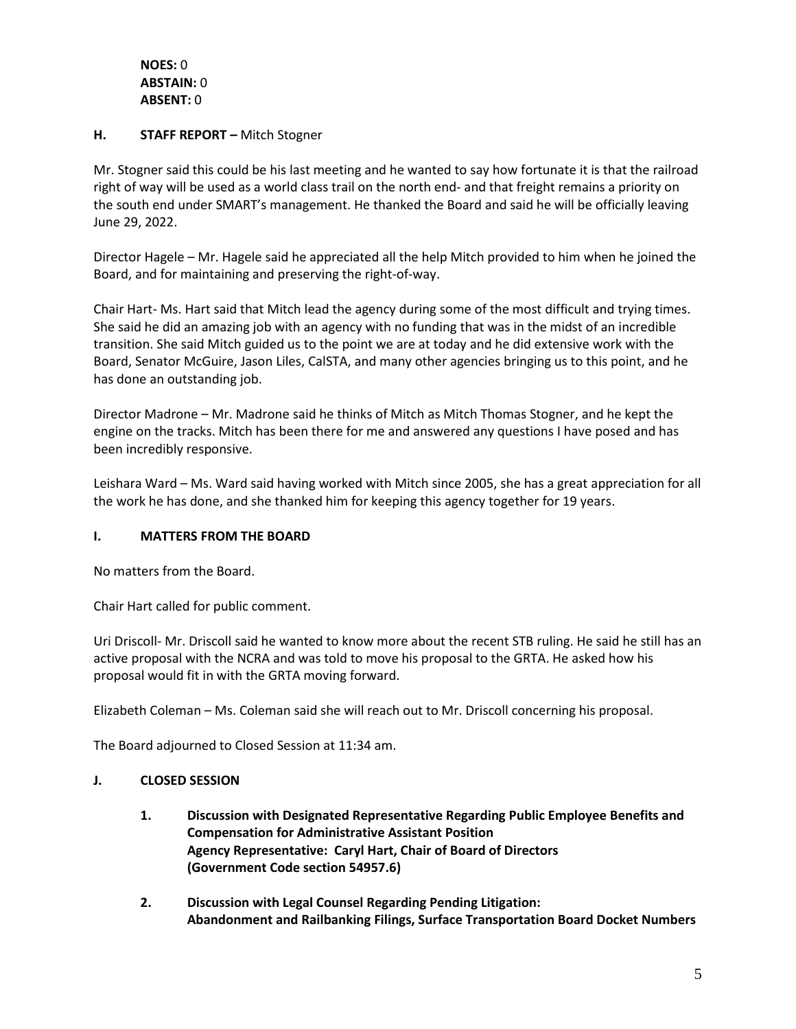**NOES:** 0 **ABSTAIN:** 0 **ABSENT:** 0

### **H. STAFF REPORT –** Mitch Stogner

Mr. Stogner said this could be his last meeting and he wanted to say how fortunate it is that the railroad right of way will be used as a world class trail on the north end- and that freight remains a priority on the south end under SMART's management. He thanked the Board and said he will be officially leaving June 29, 2022.

Director Hagele – Mr. Hagele said he appreciated all the help Mitch provided to him when he joined the Board, and for maintaining and preserving the right-of-way.

Chair Hart- Ms. Hart said that Mitch lead the agency during some of the most difficult and trying times. She said he did an amazing job with an agency with no funding that was in the midst of an incredible transition. She said Mitch guided us to the point we are at today and he did extensive work with the Board, Senator McGuire, Jason Liles, CalSTA, and many other agencies bringing us to this point, and he has done an outstanding job.

Director Madrone – Mr. Madrone said he thinks of Mitch as Mitch Thomas Stogner, and he kept the engine on the tracks. Mitch has been there for me and answered any questions I have posed and has been incredibly responsive.

Leishara Ward – Ms. Ward said having worked with Mitch since 2005, she has a great appreciation for all the work he has done, and she thanked him for keeping this agency together for 19 years.

## **I. MATTERS FROM THE BOARD**

No matters from the Board.

Chair Hart called for public comment.

Uri Driscoll- Mr. Driscoll said he wanted to know more about the recent STB ruling. He said he still has an active proposal with the NCRA and was told to move his proposal to the GRTA. He asked how his proposal would fit in with the GRTA moving forward.

Elizabeth Coleman – Ms. Coleman said she will reach out to Mr. Driscoll concerning his proposal.

The Board adjourned to Closed Session at 11:34 am.

## **J. CLOSED SESSION**

- **1. Discussion with Designated Representative Regarding Public Employee Benefits and Compensation for Administrative Assistant Position Agency Representative: Caryl Hart, Chair of Board of Directors (Government Code section 54957.6)**
- **2. Discussion with Legal Counsel Regarding Pending Litigation: Abandonment and Railbanking Filings, Surface Transportation Board Docket Numbers**